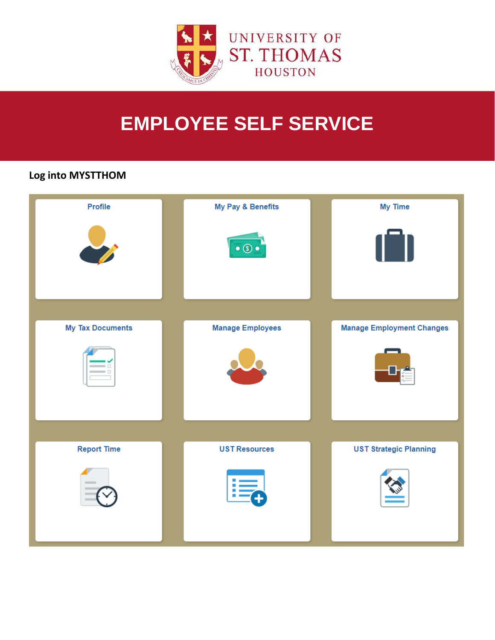

# **EMPLOYEE SELF SERVICE**

## Log into MYSTTHOM

| Profile                 | My Pay & Benefits       | My Time                          |
|-------------------------|-------------------------|----------------------------------|
|                         | $\bullet$ $\circ$       |                                  |
|                         |                         |                                  |
|                         |                         |                                  |
|                         |                         |                                  |
| <b>My Tax Documents</b> | <b>Manage Employees</b> | <b>Manage Employment Changes</b> |
|                         |                         |                                  |
|                         |                         |                                  |
|                         |                         |                                  |
| <b>Report Time</b>      | <b>UST Resources</b>    | <b>UST Strategic Planning</b>    |
| $\frac{1}{2}$           |                         |                                  |
|                         |                         |                                  |